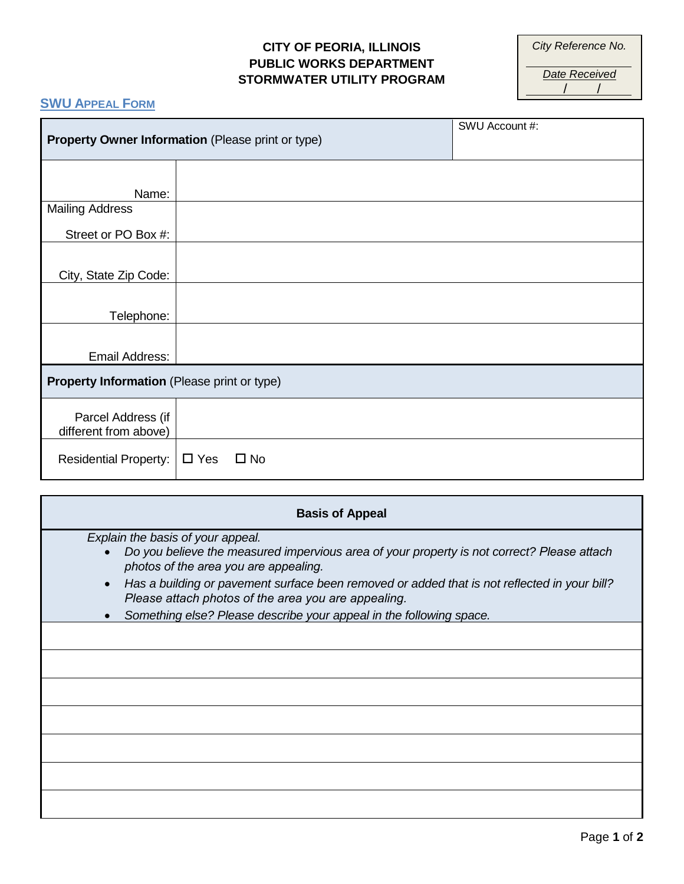### **CITY OF PEORIA, ILLINOIS PUBLIC WORKS DEPARTMENT STORMWATER UTILITY PROGRAM**

*City Reference No.*

*Date Received* / /

# **SWU APPEAL FORM**

| Property Owner Information (Please print or type) |               |              | SWU Account #: |  |  |
|---------------------------------------------------|---------------|--------------|----------------|--|--|
|                                                   |               |              |                |  |  |
| Name:                                             |               |              |                |  |  |
| <b>Mailing Address</b>                            |               |              |                |  |  |
| Street or PO Box #:                               |               |              |                |  |  |
|                                                   |               |              |                |  |  |
| City, State Zip Code:                             |               |              |                |  |  |
|                                                   |               |              |                |  |  |
| Telephone:                                        |               |              |                |  |  |
|                                                   |               |              |                |  |  |
| Email Address:                                    |               |              |                |  |  |
| Property Information (Please print or type)       |               |              |                |  |  |
| Parcel Address (if<br>different from above)       |               |              |                |  |  |
| Residential Property:                             | $\square$ Yes | $\square$ No |                |  |  |

| <b>Basis of Appeal</b> |                                                                                                                                                                          |  |  |  |
|------------------------|--------------------------------------------------------------------------------------------------------------------------------------------------------------------------|--|--|--|
|                        | Explain the basis of your appeal.<br>Do you believe the measured impervious area of your property is not correct? Please attach<br>photos of the area you are appealing. |  |  |  |
| $\bullet$              | Has a building or pavement surface been removed or added that is not reflected in your bill?<br>Please attach photos of the area you are appealing.                      |  |  |  |
|                        | Something else? Please describe your appeal in the following space.                                                                                                      |  |  |  |
|                        |                                                                                                                                                                          |  |  |  |
|                        |                                                                                                                                                                          |  |  |  |
|                        |                                                                                                                                                                          |  |  |  |
|                        |                                                                                                                                                                          |  |  |  |
|                        |                                                                                                                                                                          |  |  |  |
|                        |                                                                                                                                                                          |  |  |  |
|                        |                                                                                                                                                                          |  |  |  |